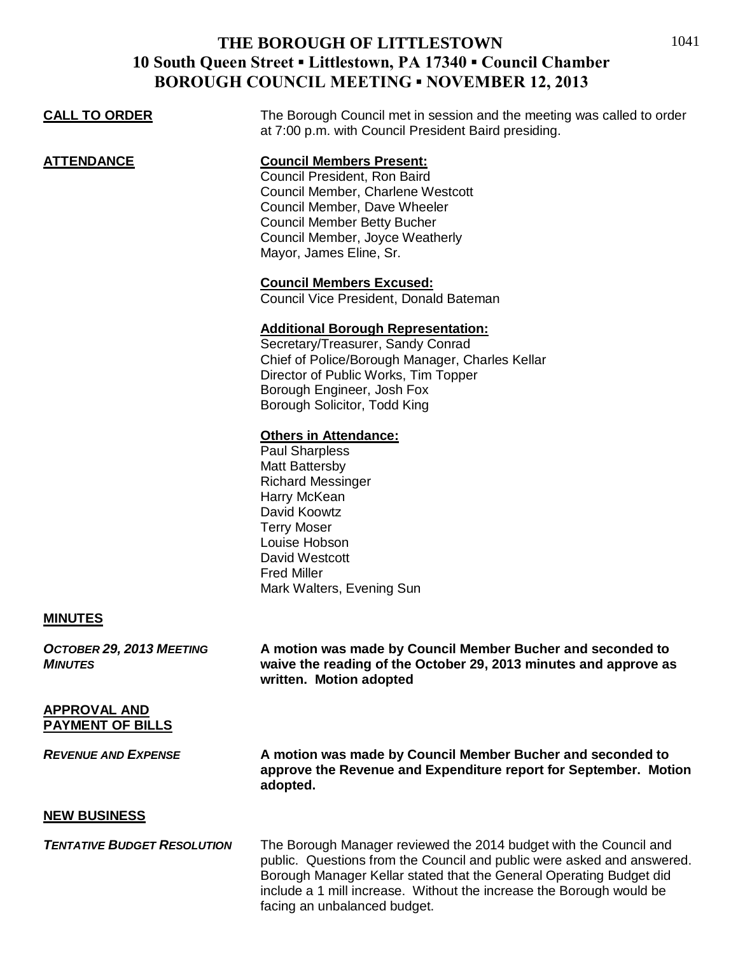## **THE BOROUGH OF LITTLESTOWN 10 South Queen Street ▪ Littlestown, PA 17340 ▪ Council Chamber BOROUGH COUNCIL MEETING ▪ NOVEMBER 12, 2013**

| <b>CALL TO ORDER</b> | The Borough Council met in session and the meeting was called to order<br>at 7:00 p.m. with Council President Baird presiding.                                                                                                                                                                                        |
|----------------------|-----------------------------------------------------------------------------------------------------------------------------------------------------------------------------------------------------------------------------------------------------------------------------------------------------------------------|
| ATTENDANCE           | <b>Council Members Present:</b><br>Council President, Ron Baird<br>Council Member, Charlene Westcott<br>Council Member, Dave Wheeler<br><b>Council Member Betty Bucher</b><br>Council Member, Joyce Weatherly<br>Mayor, James Eline, Sr.<br><b>Council Members Excused:</b><br>Council Vice President, Donald Bateman |
|                      | <b>Additional Borough Representation:</b><br>Secretary/Treasurer, Sandy Conrad<br>Chief of Police/Borough Manager, Charles Kellar<br>Director of Public Works, Tim Topper<br>Borough Engineer, Josh Fox<br>Borough Solicitor, Todd King                                                                               |
|                      | <b>Others in Attendance:</b><br><b>Paul Sharpless</b><br>Matt Battersby<br><b>Richard Messinger</b><br>Harry McKean<br>David Koowtz<br><b>Terry Moser</b><br>Louise Hobson<br>David Westcott<br><b>Fred Miller</b><br>Mark Walters, Evening Sun                                                                       |
| <b>MINUTES</b>       |                                                                                                                                                                                                                                                                                                                       |

*OCTOBER 29, 2013 MEETING* **A motion was made by Council Member Bucher and seconded to** *MINUTES* **waive the reading of the October 29, 2013 minutes and approve as written. Motion adopted**

## **APPROVAL AND PAYMENT OF BILLS**

*REVENUE AND EXPENSE* **A motion was made by Council Member Bucher and seconded to approve the Revenue and Expenditure report for September. Motion adopted.**

## **NEW BUSINESS**

**TENTATIVE BUDGET RESOLUTION** The Borough Manager reviewed the 2014 budget with the Council and public. Questions from the Council and public were asked and answered. Borough Manager Kellar stated that the General Operating Budget did include a 1 mill increase. Without the increase the Borough would be facing an unbalanced budget.